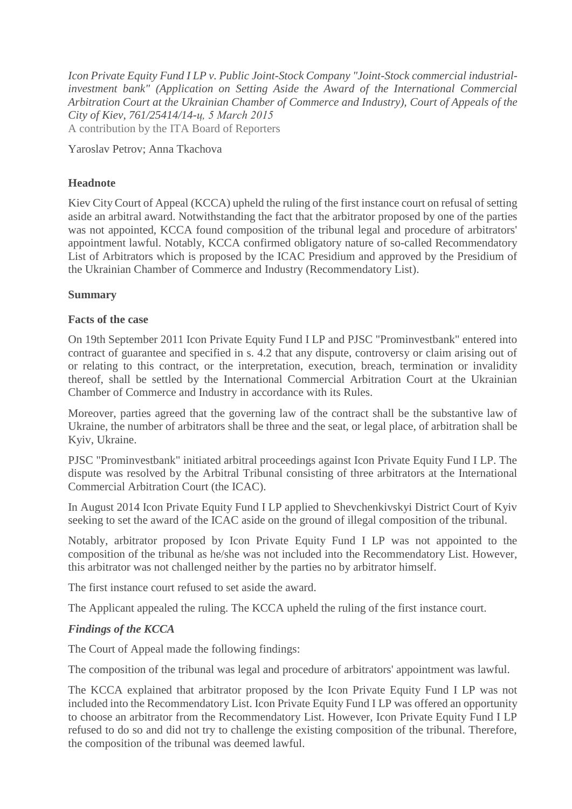*Icon Private Equity Fund I LP v. Public Joint-Stock Company "Joint-Stock commercial industrialinvestment bank" (Application on Setting Aside the Award of the International Commercial Arbitration Court at the Ukrainian Chamber of Commerce and Industry), Court of Appeals of the City of Kiev, 761/25414/14-ц, 5 March 2015* A contribution by the ITA Board of Reporters

Yaroslav Petrov; Anna Tkachova

## **Headnote**

Kiev City Court of Appeal (KCCA) upheld the ruling of the first instance court on refusal of setting aside an arbitral award. Notwithstanding the fact that the arbitrator proposed by one of the parties was not appointed, KCCA found composition of the tribunal legal and procedure of arbitrators' appointment lawful. Notably, KCCA confirmed obligatory nature of so-called Recommendatory List of Arbitrators which is proposed by the ICAC Presidium and approved by the Presidium of the Ukrainian Chamber of Commerce and Industry (Recommendatory List).

## **Summary**

## **Facts of the case**

On 19th September 2011 Icon Private Equity Fund I LP and PJSC "Prominvestbank" entered into contract of guarantee and specified in s. 4.2 that any dispute, controversy or claim arising out of or relating to this contract, or the interpretation, execution, breach, termination or invalidity thereof, shall be settled by the International Commercial Arbitration Court at the Ukrainian Chamber of Commerce and Industry in accordance with its Rules.

Moreover, parties agreed that the governing law of the contract shall be the substantive law of Ukraine, the number of arbitrators shall be three and the seat, or legal place, of arbitration shall be Kyiv, Ukraine.

PJSC "Prominvestbank" initiated arbitral proceedings against Icon Private Equity Fund I LP. The dispute was resolved by the Arbitral Tribunal consisting of three arbitrators at the International Commercial Arbitration Court (the ICAC).

In August 2014 Icon Private Equity Fund I LP applied to Shevchenkivskyi District Court of Kyiv seeking to set the award of the ICAC aside on the ground of illegal composition of the tribunal.

Notably, arbitrator proposed by Icon Private Equity Fund I LP was not appointed to the composition of the tribunal as he/she was not included into the Recommendatory List. However, this arbitrator was not challenged neither by the parties no by arbitrator himself.

The first instance court refused to set aside the award.

The Applicant appealed the ruling. The KCCA upheld the ruling of the first instance court.

## *Findings of the KCCA*

The Court of Appeal made the following findings:

The composition of the tribunal was legal and procedure of arbitrators' appointment was lawful.

The KCCA explained that arbitrator proposed by the Icon Private Equity Fund I LP was not included into the Recommendatory List. Icon Private Equity Fund I LP was offered an opportunity to choose an arbitrator from the Recommendatory List. However, Icon Private Equity Fund I LP refused to do so and did not try to challenge the existing composition of the tribunal. Therefore, the composition of the tribunal was deemed lawful.